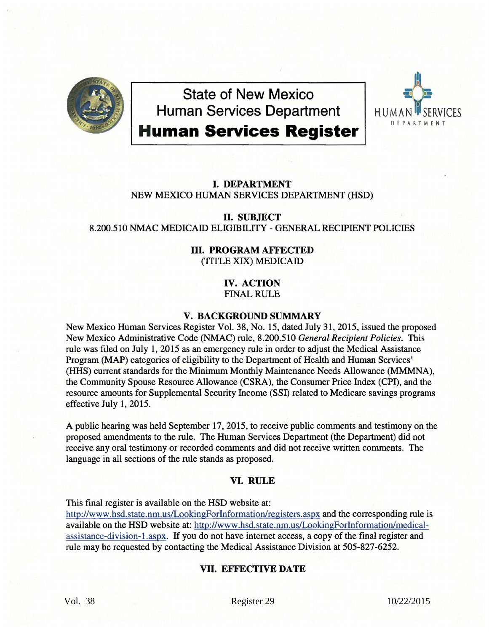

State of New Mexico Human Services Department **Human Services Register** 



# I. DEPARTMENT NEW MEXICO HUMAN SERVICES DEPARTMENT (HSD)

#### II. SUBJECT 8.200.510 NMAC MEDICAID ELIGffiiLITY- GENERAL RECIPIENT POLICIES

# III. PROGRAM AFFECTED (TITLE XIX) MEDICAID

#### IV. ACTION FINAL RULE

### V. BACKGROUND SUMMARY

New Mexico Human Services Register Vol. 38, No. 15, dated July 31, 2015, issued the proposed New Mexico Administrative Code (NMAC) rule, 8.200.510 *General Recipient Policies.* This rule was filed on July 1, 2015 as an emergency rule in order to adjust the Medical Assistance Program (MAP) categories of eligibility to the Department of Health and Human Services' (HHS) current standards for the Minimum Monthly Maintenance Needs Allowance (MMMNA), the Community Spouse Resource Allowance (CSRA), the Consumer Price Index (CPI), and the resource amounts for Supplemental Security Income (SSI) related to Medicare savings programs effective July 1, 2015.

A public hearing was held September 17, 2015, to receive public comments and testimony on the proposed amendments to the rule. The Human Services Department (the Department) did not receive any oral testimony or recorded comments and did not receive written comments. The language in all sections of the rule stands as proposed.

### VI. RULE

This final register is available on the HSD website at: http://www.hsd.state.nm.us/LookingForInformation/registers.aspx and the corresponding rule is available on the HSD website at: http://www.hsd.state.nm.us/LookingForInformation/medicalassistance-division-1.aspx. If you do not have internet access, a copy of the final register and rule may be requested by contacting the Medical Assistance Division at 505-827-6252.

### VII. EFFECTIVE DATE